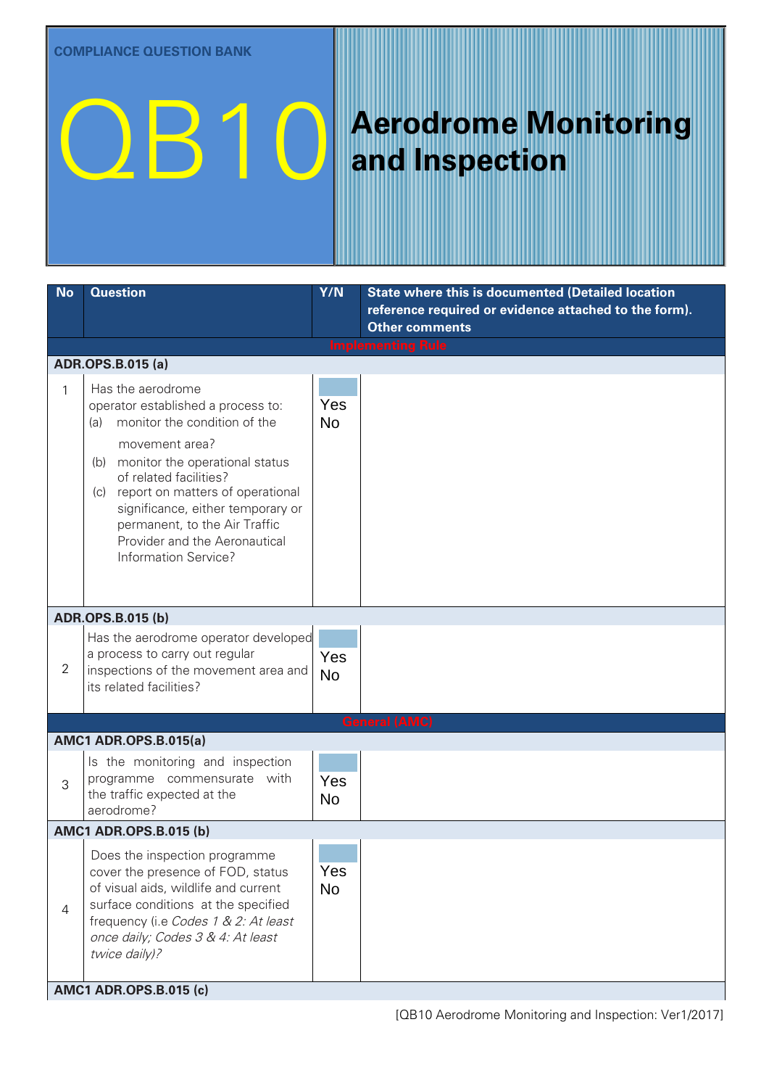# **QB10** Aerodrome Monitoring

## **and Inspection**

| <b>No</b>                     | <b>Question</b>                                                                                                                                                                                                                                                                                                                                            | Y/N              | <b>State where this is documented (Detailed location</b><br>reference required or evidence attached to the form).<br><b>Other comments</b> |  |
|-------------------------------|------------------------------------------------------------------------------------------------------------------------------------------------------------------------------------------------------------------------------------------------------------------------------------------------------------------------------------------------------------|------------------|--------------------------------------------------------------------------------------------------------------------------------------------|--|
|                               |                                                                                                                                                                                                                                                                                                                                                            |                  | <b>Implementing Rule</b>                                                                                                                   |  |
|                               | <b>ADR.OPS.B.015 (a)</b>                                                                                                                                                                                                                                                                                                                                   |                  |                                                                                                                                            |  |
| 1                             | Has the aerodrome<br>operator established a process to:<br>monitor the condition of the<br>(a)<br>movement area?<br>monitor the operational status<br>(b)<br>of related facilities?<br>(c) report on matters of operational<br>significance, either temporary or<br>permanent, to the Air Traffic<br>Provider and the Aeronautical<br>Information Service? | Yes<br><b>No</b> |                                                                                                                                            |  |
|                               | <b>ADR.OPS.B.015 (b)</b>                                                                                                                                                                                                                                                                                                                                   |                  |                                                                                                                                            |  |
| $\overline{2}$                | Has the aerodrome operator developed<br>a process to carry out regular<br>inspections of the movement area and<br>its related facilities?                                                                                                                                                                                                                  | Yes<br><b>No</b> |                                                                                                                                            |  |
|                               |                                                                                                                                                                                                                                                                                                                                                            |                  | <b>General (AMC)</b>                                                                                                                       |  |
|                               | <b>AMC1 ADR.OPS.B.015(a)</b>                                                                                                                                                                                                                                                                                                                               |                  |                                                                                                                                            |  |
| 3                             | Is the monitoring and inspection<br>programme commensurate with<br>the traffic expected at the<br>aerodrome?                                                                                                                                                                                                                                               | Yes<br><b>No</b> |                                                                                                                                            |  |
| <b>AMC1 ADR.OPS.B.015 (b)</b> |                                                                                                                                                                                                                                                                                                                                                            |                  |                                                                                                                                            |  |
| 4                             | Does the inspection programme<br>cover the presence of FOD, status<br>of visual aids, wildlife and current<br>surface conditions at the specified<br>frequency (i.e Codes 1 & 2: At least<br>once daily; Codes 3 & 4: At least<br>twice daily)?                                                                                                            | Yes<br><b>No</b> |                                                                                                                                            |  |
|                               | <b>AMC1 ADR.OPS.B.015 (c)</b>                                                                                                                                                                                                                                                                                                                              |                  |                                                                                                                                            |  |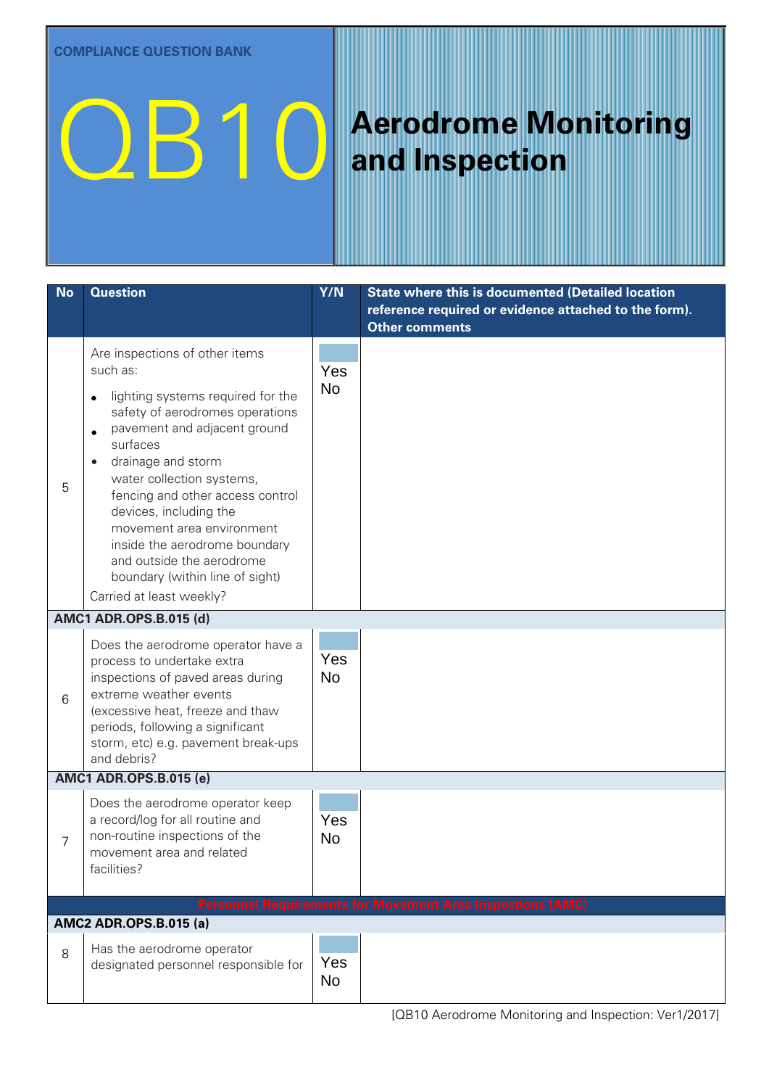## **QB10** Aerodrome Monitoring

## **and Inspection**

| <b>No</b> | <b>Question</b>                                                                                                                                                                                                                                                                                                                                                                                                                           | Y/N              | <b>State where this is documented (Detailed location</b><br>reference required or evidence attached to the form).<br><b>Other comments</b> |
|-----------|-------------------------------------------------------------------------------------------------------------------------------------------------------------------------------------------------------------------------------------------------------------------------------------------------------------------------------------------------------------------------------------------------------------------------------------------|------------------|--------------------------------------------------------------------------------------------------------------------------------------------|
| 5         | Are inspections of other items<br>such as:<br>lighting systems required for the<br>safety of aerodromes operations<br>pavement and adjacent ground<br>surfaces<br>drainage and storm<br>water collection systems,<br>fencing and other access control<br>devices, including the<br>movement area environment<br>inside the aerodrome boundary<br>and outside the aerodrome<br>boundary (within line of sight)<br>Carried at least weekly? | Yes<br><b>No</b> |                                                                                                                                            |
|           | <b>AMC1 ADR.OPS.B.015 (d)</b>                                                                                                                                                                                                                                                                                                                                                                                                             |                  |                                                                                                                                            |
| 6         | Does the aerodrome operator have a<br>process to undertake extra<br>inspections of paved areas during<br>extreme weather events<br>(excessive heat, freeze and thaw<br>periods, following a significant<br>storm, etc) e.g. pavement break-ups<br>and debris?                                                                                                                                                                             | Yes<br><b>No</b> |                                                                                                                                            |
|           | <b>AMC1 ADR.OPS.B.015 (e)</b>                                                                                                                                                                                                                                                                                                                                                                                                             |                  |                                                                                                                                            |
| 7         | Does the aerodrome operator keep<br>a record/log for all routine and<br>non-routine inspections of the<br>movement area and related<br>facilities?                                                                                                                                                                                                                                                                                        | Yes<br><b>No</b> |                                                                                                                                            |
|           |                                                                                                                                                                                                                                                                                                                                                                                                                                           |                  | <b>Personnel Requirements for Movement Area Inspections (AMC)</b>                                                                          |
|           | <b>AMC2 ADR.OPS.B.015 (a)</b>                                                                                                                                                                                                                                                                                                                                                                                                             |                  |                                                                                                                                            |
| 8         | Has the aerodrome operator<br>designated personnel responsible for                                                                                                                                                                                                                                                                                                                                                                        | Yes<br>No        |                                                                                                                                            |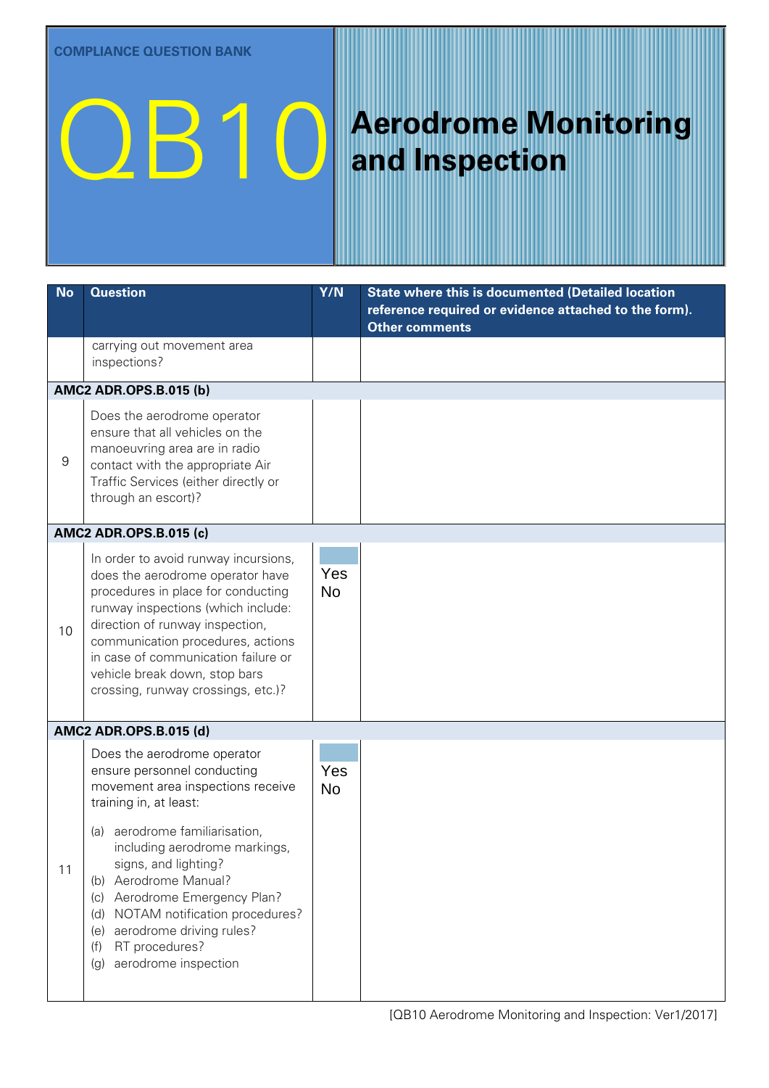## **QB10** Aerodrome Monitoring

## **and Inspection**

| <b>No</b> | <b>Question</b>                                                                                                                                                                                                                                                                                                                                                                                                          | Y/N              | <b>State where this is documented (Detailed location</b><br>reference required or evidence attached to the form).<br><b>Other comments</b> |
|-----------|--------------------------------------------------------------------------------------------------------------------------------------------------------------------------------------------------------------------------------------------------------------------------------------------------------------------------------------------------------------------------------------------------------------------------|------------------|--------------------------------------------------------------------------------------------------------------------------------------------|
|           | carrying out movement area<br>inspections?                                                                                                                                                                                                                                                                                                                                                                               |                  |                                                                                                                                            |
|           | <b>AMC2 ADR.OPS.B.015 (b)</b>                                                                                                                                                                                                                                                                                                                                                                                            |                  |                                                                                                                                            |
| 9         | Does the aerodrome operator<br>ensure that all vehicles on the<br>manoeuvring area are in radio<br>contact with the appropriate Air<br>Traffic Services (either directly or<br>through an escort)?                                                                                                                                                                                                                       | Yes<br><b>No</b> |                                                                                                                                            |
|           | <b>AMC2 ADR.OPS.B.015 (c)</b>                                                                                                                                                                                                                                                                                                                                                                                            |                  |                                                                                                                                            |
| 10        | In order to avoid runway incursions,<br>does the aerodrome operator have<br>procedures in place for conducting<br>runway inspections (which include:<br>direction of runway inspection,<br>communication procedures, actions<br>in case of communication failure or<br>vehicle break down, stop bars<br>crossing, runway crossings, etc.)?                                                                               | Yes<br><b>No</b> |                                                                                                                                            |
|           | <b>AMC2 ADR.OPS.B.015 (d)</b>                                                                                                                                                                                                                                                                                                                                                                                            |                  |                                                                                                                                            |
| 11        | Does the aerodrome operator<br>ensure personnel conducting<br>movement area inspections receive<br>training in, at least:<br>(a) aerodrome familiarisation,<br>including aerodrome markings,<br>signs, and lighting?<br>Aerodrome Manual?<br>(b)<br>Aerodrome Emergency Plan?<br>(c)<br>NOTAM notification procedures?<br>(d)<br>aerodrome driving rules?<br>(e)<br>RT procedures?<br>(f)<br>aerodrome inspection<br>(g) | Yes<br><b>No</b> |                                                                                                                                            |